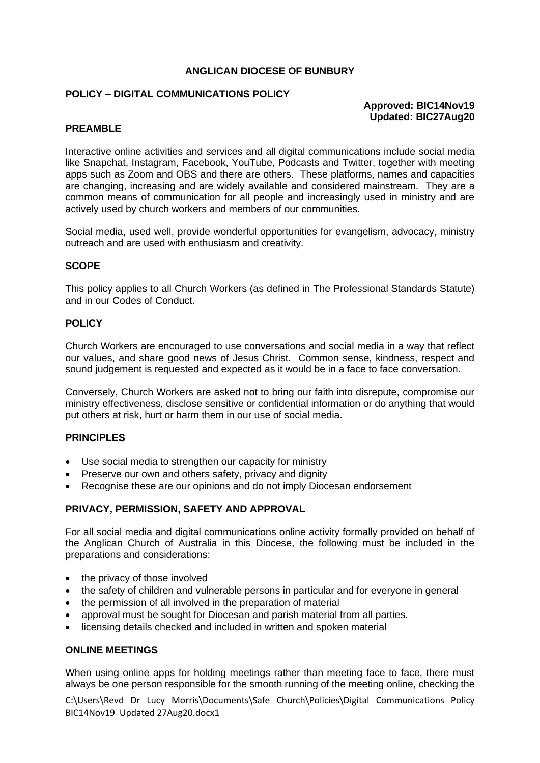#### **ANGLICAN DIOCESE OF BUNBURY**

## **POLICY – DIGITAL COMMUNICATIONS POLICY**

# **Approved: BIC14Nov19 Updated: BIC27Aug20**

## **PREAMBLE**

Interactive online activities and services and all digital communications include social media like Snapchat, Instagram, Facebook, YouTube, Podcasts and Twitter, together with meeting apps such as Zoom and OBS and there are others. These platforms, names and capacities are changing, increasing and are widely available and considered mainstream. They are a common means of communication for all people and increasingly used in ministry and are actively used by church workers and members of our communities.

Social media, used well, provide wonderful opportunities for evangelism, advocacy, ministry outreach and are used with enthusiasm and creativity.

#### **SCOPE**

This policy applies to all Church Workers (as defined in The Professional Standards Statute) and in our Codes of Conduct.

#### **POLICY**

Church Workers are encouraged to use conversations and social media in a way that reflect our values, and share good news of Jesus Christ. Common sense, kindness, respect and sound judgement is requested and expected as it would be in a face to face conversation.

Conversely, Church Workers are asked not to bring our faith into disrepute, compromise our ministry effectiveness, disclose sensitive or confidential information or do anything that would put others at risk, hurt or harm them in our use of social media.

#### **PRINCIPLES**

- Use social media to strengthen our capacity for ministry
- Preserve our own and others safety, privacy and dignity
- Recognise these are our opinions and do not imply Diocesan endorsement

#### **PRIVACY, PERMISSION, SAFETY AND APPROVAL**

For all social media and digital communications online activity formally provided on behalf of the Anglican Church of Australia in this Diocese, the following must be included in the preparations and considerations:

- the privacy of those involved
- the safety of children and vulnerable persons in particular and for everyone in general
- the permission of all involved in the preparation of material
- approval must be sought for Diocesan and parish material from all parties.
- licensing details checked and included in written and spoken material

## **ONLINE MEETINGS**

When using online apps for holding meetings rather than meeting face to face, there must always be one person responsible for the smooth running of the meeting online, checking the

C:\Users\Revd Dr Lucy Morris\Documents\Safe Church\Policies\Digital Communications Policy BIC14Nov19 Updated 27Aug20.docx1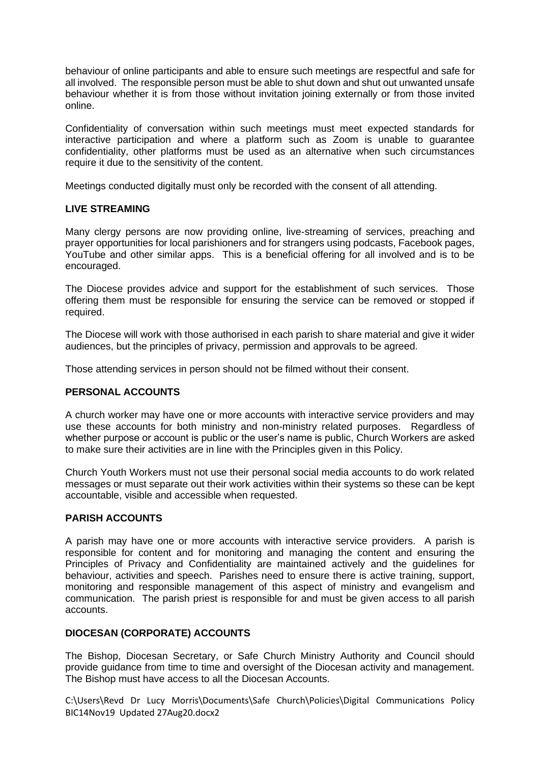behaviour of online participants and able to ensure such meetings are respectful and safe for all involved. The responsible person must be able to shut down and shut out unwanted unsafe behaviour whether it is from those without invitation joining externally or from those invited online.

Confidentiality of conversation within such meetings must meet expected standards for interactive participation and where a platform such as Zoom is unable to guarantee confidentiality, other platforms must be used as an alternative when such circumstances require it due to the sensitivity of the content.

Meetings conducted digitally must only be recorded with the consent of all attending.

## **LIVE STREAMING**

Many clergy persons are now providing online, live-streaming of services, preaching and prayer opportunities for local parishioners and for strangers using podcasts, Facebook pages, YouTube and other similar apps. This is a beneficial offering for all involved and is to be encouraged.

The Diocese provides advice and support for the establishment of such services. Those offering them must be responsible for ensuring the service can be removed or stopped if required.

The Diocese will work with those authorised in each parish to share material and give it wider audiences, but the principles of privacy, permission and approvals to be agreed.

Those attending services in person should not be filmed without their consent.

## **PERSONAL ACCOUNTS**

A church worker may have one or more accounts with interactive service providers and may use these accounts for both ministry and non-ministry related purposes. Regardless of whether purpose or account is public or the user's name is public, Church Workers are asked to make sure their activities are in line with the Principles given in this Policy.

Church Youth Workers must not use their personal social media accounts to do work related messages or must separate out their work activities within their systems so these can be kept accountable, visible and accessible when requested.

## **PARISH ACCOUNTS**

A parish may have one or more accounts with interactive service providers. A parish is responsible for content and for monitoring and managing the content and ensuring the Principles of Privacy and Confidentiality are maintained actively and the guidelines for behaviour, activities and speech. Parishes need to ensure there is active training, support, monitoring and responsible management of this aspect of ministry and evangelism and communication. The parish priest is responsible for and must be given access to all parish accounts.

## **DIOCESAN (CORPORATE) ACCOUNTS**

The Bishop, Diocesan Secretary, or Safe Church Ministry Authority and Council should provide guidance from time to time and oversight of the Diocesan activity and management. The Bishop must have access to all the Diocesan Accounts.

C:\Users\Revd Dr Lucy Morris\Documents\Safe Church\Policies\Digital Communications Policy BIC14Nov19 Updated 27Aug20.docx2